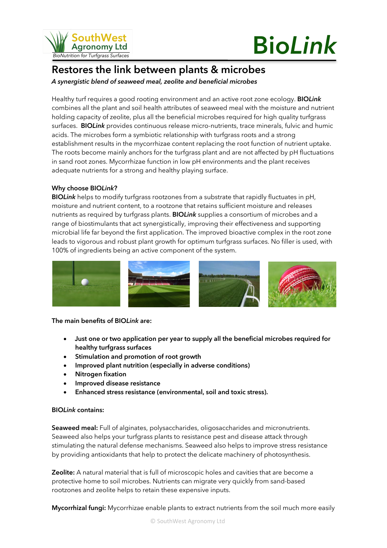

# **Bio***Link*

## **Restores the link between plants & microbes**

*A synergistic blend of seaweed meal, zeolite and beneficial microbes*

Healthy turf requires a good rooting environment and an active root zone ecology. **BIO***Link* combines all the plant and soil health attributes of seaweed meal with the moisture and nutrient holding capacity of zeolite, plus all the beneficial microbes required for high quality turfgrass surfaces. **BIO***Link* provides continuous release micro-nutrients, trace minerals, fulvic and humic acids. The microbes form a symbiotic relationship with turfgrass roots and a strong establishment results in the mycorrhizae content replacing the root function of nutrient uptake. The roots become mainly anchors for the turfgrass plant and are not affected by pH fluctuations in sand root zones. Mycorrhizae function in low pH environments and the plant receives adequate nutrients for a strong and healthy playing surface.

#### **Why choose BIO***Link***?**

**BIO***Link* helps to modify turfgrass rootzones from a substrate that rapidly fluctuates in pH, moisture and nutrient content, to a rootzone that retains sufficient moisture and releases nutrients as required by turfgrass plants. **BIO***Link* supplies a consortium of microbes and a range of biostimulants that act synergistically, improving their effectiveness and supporting microbial life far beyond the first application. The improved bioactive complex in the root zone leads to vigorous and robust plant growth for optimum turfgrass surfaces. No filler is used, with 100% of ingredients being an active component of the system.



**The main benefits of BIO***Link* **are:**

- **Just one or two application per year to supply all the beneficial microbes required for healthy turfgrass surfaces**
- **Stimulation and promotion of root growth**
- **Improved plant nutrition (especially in adverse conditions)**
- **Nitrogen fixation**
- **Improved disease resistance**
- **Enhanced stress resistance (environmental, soil and toxic stress).**

#### **BIO***Link* **contains:**

**Seaweed meal:** Full of alginates, polysaccharides, oligosaccharides and micronutrients. Seaweed also helps your turfgrass plants to resistance pest and disease attack through stimulating the natural defense mechanisms. Seaweed also helps to improve stress resistance by providing antioxidants that help to protect the delicate machinery of photosynthesis.

**Zeolite:** A natural material that is full of microscopic holes and cavities that are become a protective home to soil microbes. Nutrients can migrate very quickly from sand-based rootzones and zeolite helps to retain these expensive inputs.

**Mycorrhizal fungi:** Mycorrhizae enable plants to extract nutrients from the soil much more easily